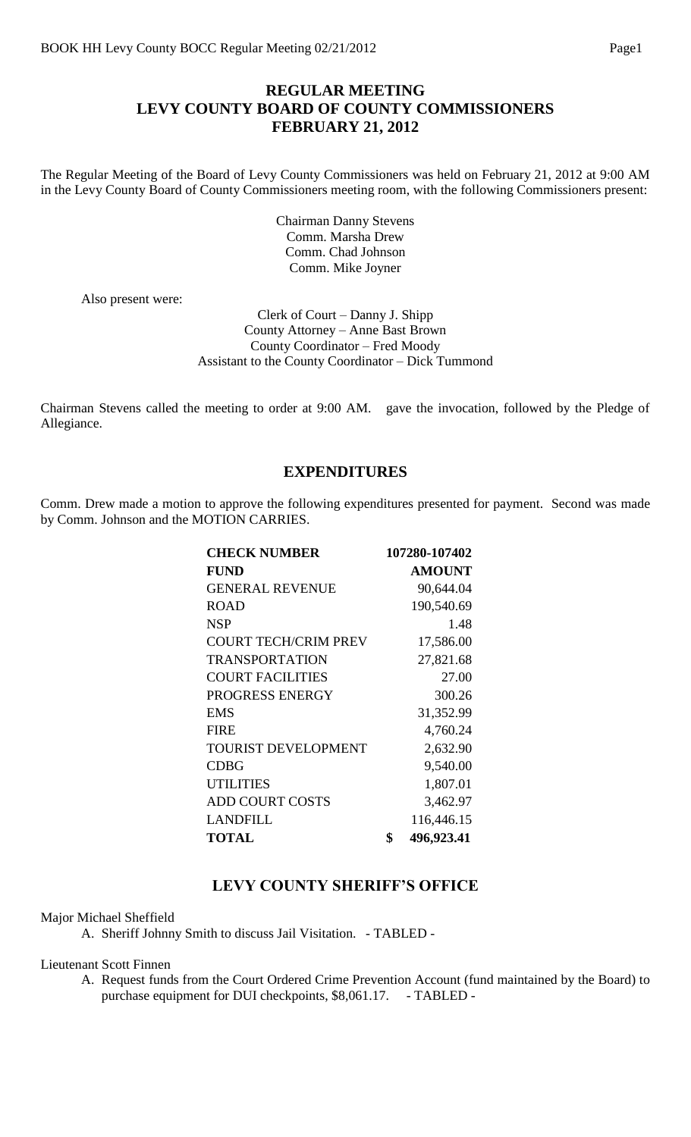#### **REGULAR MEETING LEVY COUNTY BOARD OF COUNTY COMMISSIONERS FEBRUARY 21, 2012**

The Regular Meeting of the Board of Levy County Commissioners was held on February 21, 2012 at 9:00 AM in the Levy County Board of County Commissioners meeting room, with the following Commissioners present:

> Chairman Danny Stevens Comm. Marsha Drew Comm. Chad Johnson Comm. Mike Joyner

Also present were:

Clerk of Court – Danny J. Shipp County Attorney – Anne Bast Brown County Coordinator – Fred Moody Assistant to the County Coordinator – Dick Tummond

Chairman Stevens called the meeting to order at 9:00 AM. gave the invocation, followed by the Pledge of Allegiance.

#### **EXPENDITURES**

Comm. Drew made a motion to approve the following expenditures presented for payment. Second was made by Comm. Johnson and the MOTION CARRIES.

| <b>CHECK NUMBER</b>         | 107280-107402    |
|-----------------------------|------------------|
| <b>FUND</b>                 | <b>AMOUNT</b>    |
| <b>GENERAL REVENUE</b>      | 90,644.04        |
| <b>ROAD</b>                 | 190,540.69       |
| <b>NSP</b>                  | 1.48             |
| <b>COURT TECH/CRIM PREV</b> | 17,586.00        |
| <b>TRANSPORTATION</b>       | 27,821.68        |
| <b>COURT FACILITIES</b>     | 27.00            |
| PROGRESS ENERGY             | 300.26           |
| EMS                         | 31,352.99        |
| <b>FIRE</b>                 | 4,760.24         |
| <b>TOURIST DEVELOPMENT</b>  | 2,632.90         |
| <b>CDBG</b>                 | 9,540.00         |
| <b>UTILITIES</b>            | 1,807.01         |
| <b>ADD COURT COSTS</b>      | 3,462.97         |
| <b>LANDFILL</b>             | 116,446.15       |
| <b>TOTAL</b>                | \$<br>496,923.41 |

## **LEVY COUNTY SHERIFF'S OFFICE**

Major Michael Sheffield

A. Sheriff Johnny Smith to discuss Jail Visitation. - TABLED -

Lieutenant Scott Finnen

A. Request funds from the Court Ordered Crime Prevention Account (fund maintained by the Board) to purchase equipment for DUI checkpoints, \$8,061.17. - TABLED -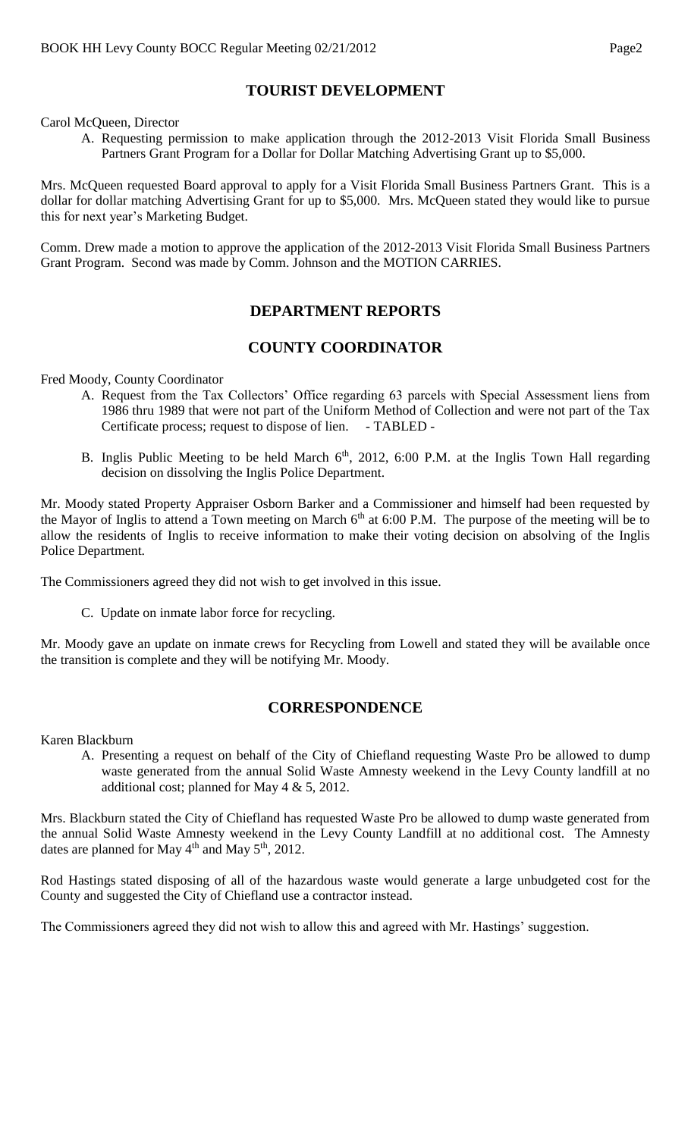## **TOURIST DEVELOPMENT**

Carol McQueen, Director

A. Requesting permission to make application through the 2012-2013 Visit Florida Small Business Partners Grant Program for a Dollar for Dollar Matching Advertising Grant up to \$5,000.

Mrs. McQueen requested Board approval to apply for a Visit Florida Small Business Partners Grant. This is a dollar for dollar matching Advertising Grant for up to \$5,000. Mrs. McQueen stated they would like to pursue this for next year's Marketing Budget.

Comm. Drew made a motion to approve the application of the 2012-2013 Visit Florida Small Business Partners Grant Program. Second was made by Comm. Johnson and the MOTION CARRIES.

# **DEPARTMENT REPORTS**

## **COUNTY COORDINATOR**

Fred Moody, County Coordinator

- A. Request from the Tax Collectors' Office regarding 63 parcels with Special Assessment liens from 1986 thru 1989 that were not part of the Uniform Method of Collection and were not part of the Tax Certificate process; request to dispose of lien. - TABLED -
- B. Inglis Public Meeting to be held March  $6<sup>th</sup>$ , 2012, 6:00 P.M. at the Inglis Town Hall regarding decision on dissolving the Inglis Police Department.

Mr. Moody stated Property Appraiser Osborn Barker and a Commissioner and himself had been requested by the Mayor of Inglis to attend a Town meeting on March  $6<sup>th</sup>$  at 6:00 P.M. The purpose of the meeting will be to allow the residents of Inglis to receive information to make their voting decision on absolving of the Inglis Police Department.

The Commissioners agreed they did not wish to get involved in this issue.

C. Update on inmate labor force for recycling.

Mr. Moody gave an update on inmate crews for Recycling from Lowell and stated they will be available once the transition is complete and they will be notifying Mr. Moody.

## **CORRESPONDENCE**

Karen Blackburn

A. Presenting a request on behalf of the City of Chiefland requesting Waste Pro be allowed to dump waste generated from the annual Solid Waste Amnesty weekend in the Levy County landfill at no additional cost; planned for May 4 & 5, 2012.

Mrs. Blackburn stated the City of Chiefland has requested Waste Pro be allowed to dump waste generated from the annual Solid Waste Amnesty weekend in the Levy County Landfill at no additional cost. The Amnesty dates are planned for May 4<sup>th</sup> and May 5<sup>th</sup>, 2012.

Rod Hastings stated disposing of all of the hazardous waste would generate a large unbudgeted cost for the County and suggested the City of Chiefland use a contractor instead.

The Commissioners agreed they did not wish to allow this and agreed with Mr. Hastings' suggestion.